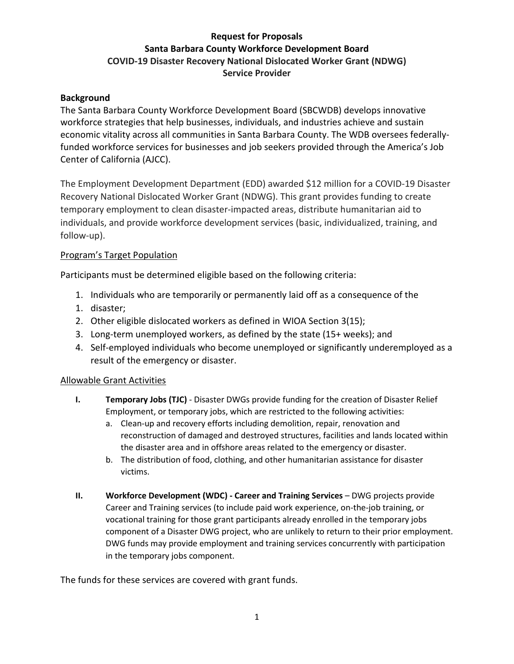# **Request for Proposals Santa Barbara County Workforce Development Board COVID-19 Disaster Recovery National Dislocated Worker Grant (NDWG) Service Provider**

### **Background**

The Santa Barbara County Workforce Development Board (SBCWDB) develops innovative workforce strategies that help businesses, individuals, and industries achieve and sustain economic vitality across all communities in Santa Barbara County. The WDB oversees federallyfunded workforce services for businesses and job seekers provided through the America's Job Center of California (AJCC).

The Employment Development Department (EDD) awarded \$12 million for a COVID-19 Disaster Recovery National Dislocated Worker Grant (NDWG). This grant provides funding to create temporary employment to clean disaster-impacted areas, distribute humanitarian aid to individuals, and provide workforce development services (basic, individualized, training, and follow-up).

### Program's Target Population

Participants must be determined eligible based on the following criteria:

- 1. Individuals who are temporarily or permanently laid off as a consequence of the
- 1. disaster;
- 2. Other eligible dislocated workers as defined in WIOA Section 3(15);
- 3. Long-term unemployed workers, as defined by the state (15+ weeks); and
- 4. Self-employed individuals who become unemployed or significantly underemployed as a result of the emergency or disaster.

### Allowable Grant Activities

- **I. Temporary Jobs (TJC)** Disaster DWGs provide funding for the creation of Disaster Relief Employment, or temporary jobs, which are restricted to the following activities:
	- a. Clean-up and recovery efforts including demolition, repair, renovation and reconstruction of damaged and destroyed structures, facilities and lands located within the disaster area and in offshore areas related to the emergency or disaster.
	- b. The distribution of food, clothing, and other humanitarian assistance for disaster victims.
- **II. Workforce Development (WDC) Career and Training Services** DWG projects provide Career and Training services (to include paid work experience, on-the-job training, or vocational training for those grant participants already enrolled in the temporary jobs component of a Disaster DWG project, who are unlikely to return to their prior employment. DWG funds may provide employment and training services concurrently with participation in the temporary jobs component.

The funds for these services are covered with grant funds.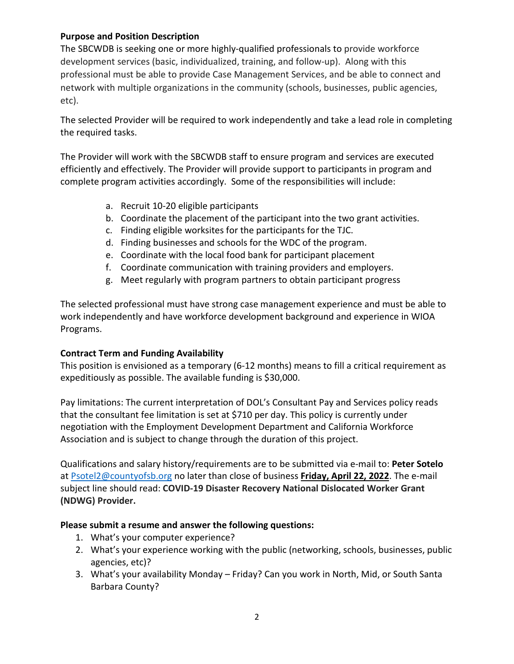## **Purpose and Position Description**

The SBCWDB is seeking one or more highly-qualified professionals to provide workforce development services (basic, individualized, training, and follow-up). Along with this professional must be able to provide Case Management Services, and be able to connect and network with multiple organizations in the community (schools, businesses, public agencies, etc).

The selected Provider will be required to work independently and take a lead role in completing the required tasks.

The Provider will work with the SBCWDB staff to ensure program and services are executed efficiently and effectively. The Provider will provide support to participants in program and complete program activities accordingly. Some of the responsibilities will include:

- a. Recruit 10-20 eligible participants
- b. Coordinate the placement of the participant into the two grant activities.
- c. Finding eligible worksites for the participants for the TJC.
- d. Finding businesses and schools for the WDC of the program.
- e. Coordinate with the local food bank for participant placement
- f. Coordinate communication with training providers and employers.
- g. Meet regularly with program partners to obtain participant progress

The selected professional must have strong case management experience and must be able to work independently and have workforce development background and experience in WIOA Programs.

## **Contract Term and Funding Availability**

This position is envisioned as a temporary (6-12 months) means to fill a critical requirement as expeditiously as possible. The available funding is \$30,000.

Pay limitations: The current interpretation of DOL's Consultant Pay and Services policy reads that the consultant fee limitation is set at \$710 per day. This policy is currently under negotiation with the Employment Development Department and California Workforce Association and is subject to change through the duration of this project.

Qualifications and salary history/requirements are to be submitted via e-mail to: **Peter Sotelo** at [Psotel2@countyofsb.org](mailto:Psotel2@countyofsb.org) no later than close of business **Friday, April 22, 2022**. The e-mail subject line should read: **COVID-19 Disaster Recovery National Dislocated Worker Grant (NDWG) Provider.** 

## **Please submit a resume and answer the following questions:**

- 1. What's your computer experience?
- 2. What's your experience working with the public (networking, schools, businesses, public agencies, etc)?
- 3. What's your availability Monday Friday? Can you work in North, Mid, or South Santa Barbara County?